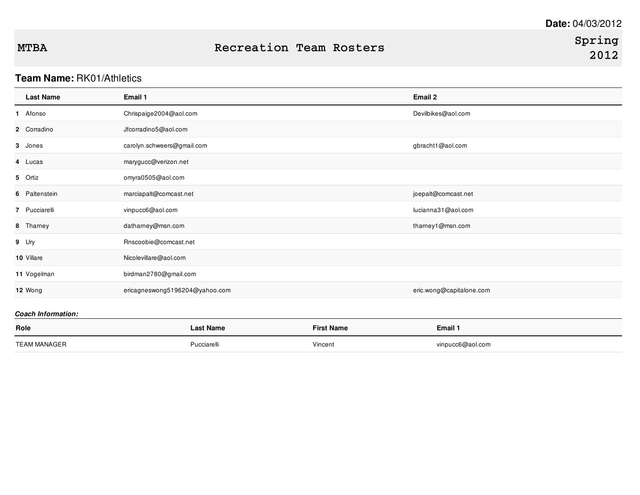## **Team Name:** RK01/Athletics

| <b>Last Name</b> | Email 1                        | Email 2                  |
|------------------|--------------------------------|--------------------------|
| 1 Afonso         | Chrispaige2004@aol.com         | Devilbikes@aol.com       |
| 2 Corradino      | Jfcorradino5@aol.com           |                          |
| 3 Jones          | carolyn.schweers@gmail.com     | gbracht1@aol.com         |
| 4 Lucas          | marygucc@verizon.net           |                          |
| 5 Ortiz          | omyra0505@aol.com              |                          |
| 6 Paltenstein    | marciapalt@comcast.net         | joepalt@comcast.net      |
| 7 Pucciarelli    | vinpucc6@aol.com               | lucianna31@aol.com       |
| 8 Thamey         | datharney@msn.com              | thamey1@msn.com          |
| 9 Ury            | Rnscoobie@comcast.net          |                          |
| 10 Villare       | Nicolevillare@aol.com          |                          |
| 11 Vogelman      | birdman2780@gmail.com          |                          |
| 12 Wong          | ericagneswong5196204@yahoo.com | eric.wong@capitalone.com |
|                  |                                |                          |

### *Coach Information:*

| Role                | Last Name   | <b>First Name</b> | Email 1          |
|---------------------|-------------|-------------------|------------------|
| <b>TEAM MANAGER</b> | Pucciarelli | Vincent           | vinpucc6@aol.com |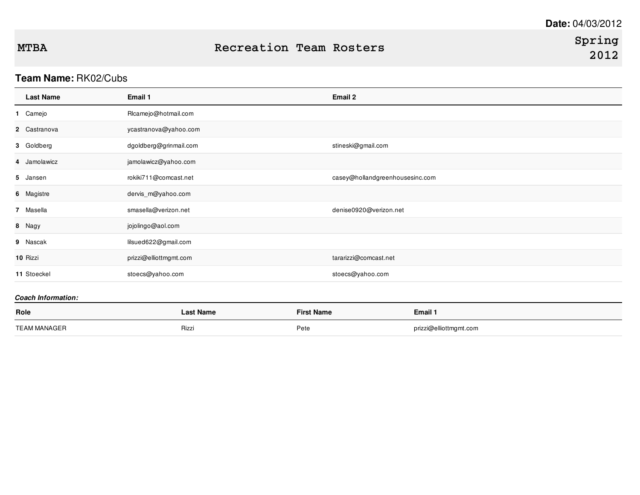## **Team Name:** RK02/Cubs

| <b>Last Name</b>          | Email 1                | Email 2                         |
|---------------------------|------------------------|---------------------------------|
| 1 Camejo                  | RIcamejo@hotmail.com   |                                 |
| 2 Castranova              | ycastranova@yahoo.com  |                                 |
| 3 Goldberg                | dgoldberg@grinmail.com | stineski@gmail.com              |
| 4 Jamolawicz              | jamolawicz@yahoo.com   |                                 |
| 5 Jansen                  | rokiki711@comcast.net  | casey@hollandgreenhousesinc.com |
| 6 Magistre                | dervis_m@yahoo.com     |                                 |
| 7 Masella                 | smasella@verizon.net   | denise0920@verizon.net          |
| 8 Nagy                    | jojolingo@aol.com      |                                 |
| 9 Nascak                  | lilsued622@gmail.com   |                                 |
| 10 Rizzi                  | prizzi@elliottmgmt.com | tararizzi@comcast.net           |
| 11 Stoeckel               | stoecs@yahoo.com       | stoecs@yahoo.com                |
| <b>Coach Information:</b> |                        |                                 |

| Role                | Last Name | <b>First Name</b> | Email 1                |
|---------------------|-----------|-------------------|------------------------|
| <b>TEAM MANAGER</b> | Rizz      | Pete              | prizzi@elliottmgmt.com |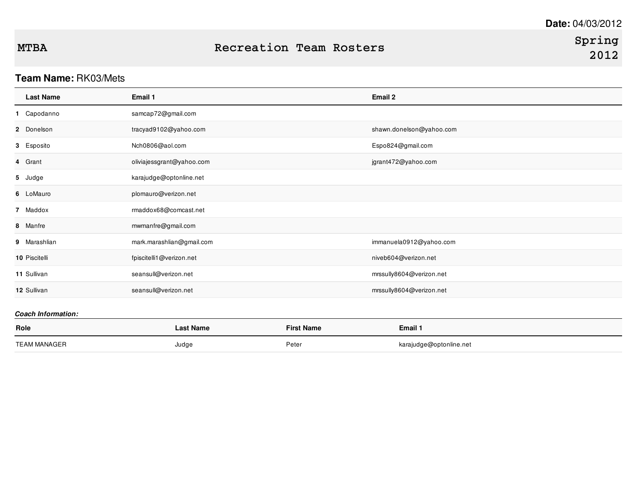## **Team Name:** RK03/Mets

| <b>Last Name</b>          | Email 1                   | Email 2                  |
|---------------------------|---------------------------|--------------------------|
| 1 Capodanno               | samcap72@gmail.com        |                          |
| 2 Donelson                | tracyad9102@yahoo.com     | shawn.donelson@yahoo.com |
| 3 Esposito                | Nch0806@aol.com           | Espo824@gmail.com        |
| 4 Grant                   | oliviajessgrant@yahoo.com | jgrant472@yahoo.com      |
| 5 Judge                   | karajudge@optonline.net   |                          |
| 6 LoMauro                 | plomauro@verizon.net      |                          |
| 7 Maddox                  | rmaddox68@comcast.net     |                          |
| 8 Manfre                  | mwmanfre@gmail.com        |                          |
| 9 Marashlian              | mark.marashlian@gmail.com | immanuela0912@yahoo.com  |
| 10 Piscitelli             | fpiscitelli1@verizon.net  | niveb604@verizon.net     |
| 11 Sullivan               | seansull@verizon.net      | mrssully8604@verizon.net |
| 12 Sullivan               | seansull@verizon.net      | mrssully8604@verizon.net |
| <b>Coach Information:</b> |                           |                          |

| Role                | <b>Last Name</b> | <b>First Name</b> | Email 1                 |
|---------------------|------------------|-------------------|-------------------------|
| <b>TEAM MANAGER</b> | Judge            | Peter             | karajudge@optonline.net |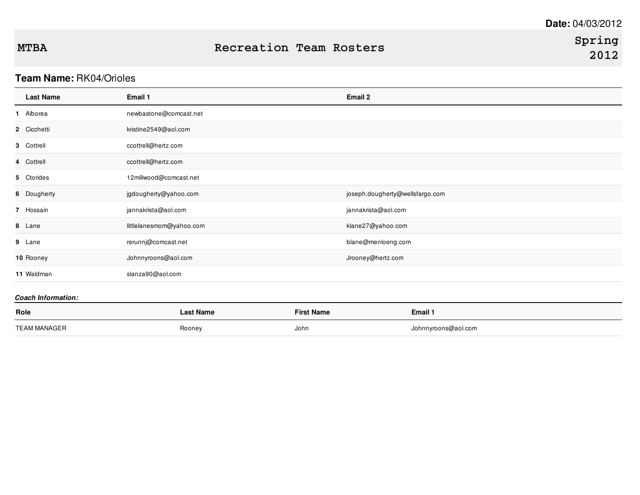# **Team Name:** RK04/Orioles

| <b>Last Name</b> | Email 1                  | Email 2                         |
|------------------|--------------------------|---------------------------------|
| 1 Alborea        | newbastone@comcast.net   |                                 |
| 2 Cicchetti      | kristine2549@aol.com     |                                 |
| 3 Cottrell       | ccottrell@hertz.com      |                                 |
| 4 Cottrell       | ccottrell@hertz.com      |                                 |
| 5 Ctorides       | 12millwood@comcast.net   |                                 |
| 6 Dougherty      | jgdougherty@yahoo.com    | joseph.dougherty@wellsfargo.com |
| 7 Hossain        | jannakrista@aol.com      | jannakrista@aol.com             |
| 8 Lane           | littlelanesmom@yahoo.com | klane27@yahoo.com               |
| 9 Lane           | rerunnj@comcast.net      | blane@menloeng.com              |
| 10 Rooney        | Johnnyroons@aol.com      | Jrooney@hertz.com               |
| 11 Waldman       | slanza90@aol.com         |                                 |
|                  |                          |                                 |

### *Coach Information:*

| Role         | <b>Last Name</b> | <b>First Name</b> | Email 1             |
|--------------|------------------|-------------------|---------------------|
| TEAM MANAGER | Rooney           | John              | Johnnyroons@aol.com |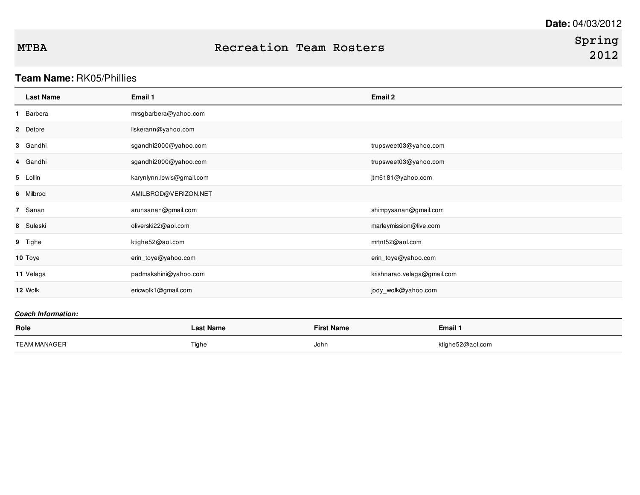## **Team Name:** RK05/Phillies

| <b>Last Name</b> | Email 1                   | Email 2                     |
|------------------|---------------------------|-----------------------------|
| 1 Barbera        | mrsgbarbera@yahoo.com     |                             |
| 2 Detore         | liskerann@yahoo.com       |                             |
| 3 Gandhi         | sgandhi2000@yahoo.com     | trupsweet03@yahoo.com       |
| 4 Gandhi         | sgandhi2000@yahoo.com     | trupsweet03@yahoo.com       |
| 5 Lollin         | karynlynn.lewis@gmail.com | jtm6181@yahoo.com           |
| 6 Milbrod        | AMILBROD@VERIZON.NET      |                             |
| 7 Sanan          | arunsanan@gmail.com       | shimpysanan@gmail.com       |
| 8 Suleski        | oliverski22@aol.com       | marleymission@live.com      |
| 9 Tighe          | ktighe52@aol.com          | mrtnt52@aol.com             |
| 10 Toye          | erin_toye@yahoo.com       | erin_toye@yahoo.com         |
| 11 Velaga        | padmakshini@yahoo.com     | krishnarao.velaga@gmail.com |
| 12 Wolk          | ericwolk1@gmail.com       | jody_wolk@yahoo.com         |

### *Coach Information:*

| Role         | <b>Last Name</b> | <b>First Name</b> | <b>Email 1</b>   |
|--------------|------------------|-------------------|------------------|
| TEAM MANAGER | Tighe            | John              | ktighe52@aol.com |